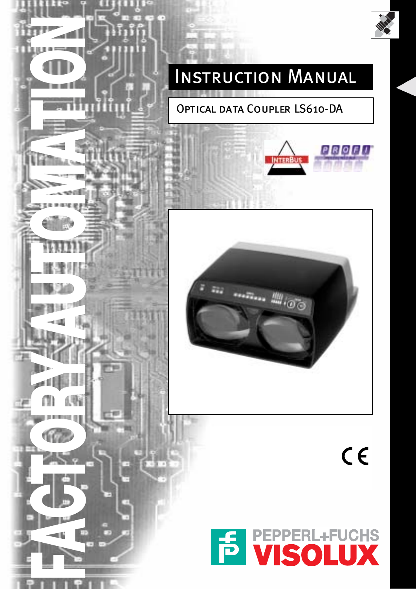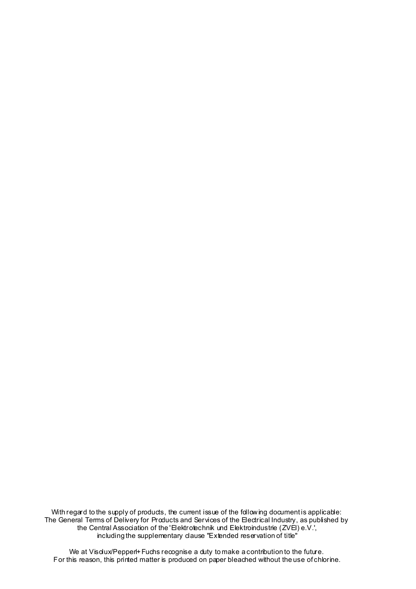With regard to the supply of products, the current issue of the following document is applicable: The General Terms of Delivery for Products and Services of the Electrical Industry, as published by the Central Association of the 'Elektrotechnik und Elektroindustrie (ZVEI) e.V.', including the supplementary clause "Extended reservation of title"

We at Visdux/Pepperl+Fuchs recognise a duty to make a contribution to the future. For this reason, this printed matter is produced on paper bleached without the use of chlorine.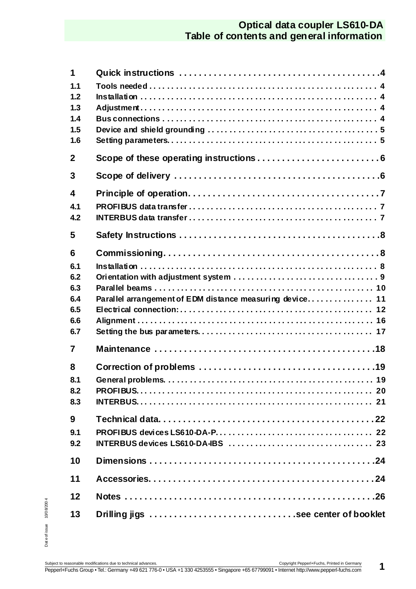## **Optical data coupler LS610-DA Table of contents and general information**

| 1<br>1.1<br>1.2<br>1.3<br>1.4<br>1.5<br>1.6        |                                                          |
|----------------------------------------------------|----------------------------------------------------------|
| $\mathbf{2}$                                       |                                                          |
| 3                                                  |                                                          |
| 4<br>4.1<br>4.2                                    |                                                          |
| 5                                                  |                                                          |
| 6<br>6.1<br>6.2<br>6.3<br>6.4<br>6.5<br>6.6<br>6.7 | Parallel arrangement of EDM distance measuring device 11 |
| 7                                                  |                                                          |
| 8<br>8.1<br>8.2<br>8.3                             |                                                          |
| 9<br>9.1<br>9.2                                    |                                                          |
| 10                                                 |                                                          |
| 11                                                 |                                                          |
| 12                                                 |                                                          |
| 13                                                 | Drilling jigs see center of booklet                      |

Date of issue 10/0 8/200 4 Dat e of issue 10/0 8/200 4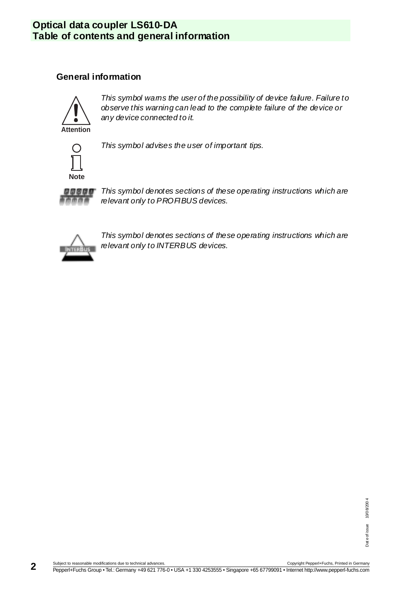# **Optical data coupler LS610-DA Table of contents and general information**

### **General information**



This symbol wams the user of the possibility of device failure. Failure to observe this warning can lead to the complete failure of the device or any device connected to it.



This symbol advises the user of important tips.



This symbol denotes sections of these operating instructions which are relevant only to PRO FIBUS devices.



This symbol denotes sections of these operating instructions which are relevant only to INTERBUS devices.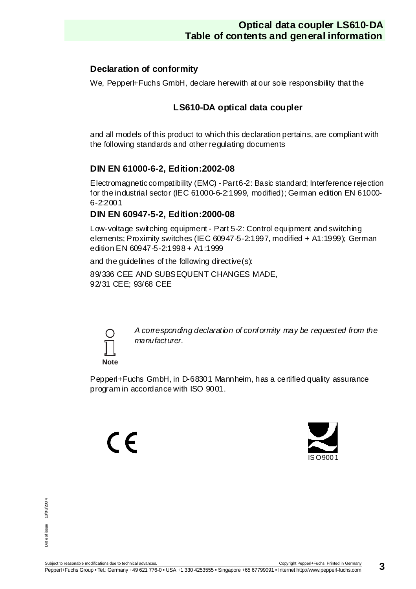### **Declaration of conformity**

We, Pepperl+Fuchs GmbH, declare herewith at our sole responsibility that the

### **LS610-DA optical data coupler**

and all models of this product to which this declaration pertains, are compliant with the following standards and other regulating documents

### **DIN EN 61000-6-2, Edition:2002-08**

Electromagnetic compatibility (EMC) - Part 6-2: Basic standard; Interference rejection for the industrial sector (IEC 61000-6-2:1999, modified); German edition EN 61000- 6-2:2001

### **DIN EN 60947-5-2, Edition:2000-08**

Low-voltage switching equipment - Part 5-2: Control equipment and switching elements; Proximity switches (IEC 60947-5-2:1997, modified + A1:1999); German edition EN 60947-5-2:1998 + A1:1999

and the guidelines of the following directive $(s)$ :

89/336 CEE AND SUBSEQUENT CHANGES MADE, 92/31 CEE; 93/68 CEE



A corresponding declaration of conformity may be requested from the manufacturer.

Pepperl+Fuchs GmbH, in D-68301 Mannheim, has a certified quality assurance program in accordance with ISO 9001.

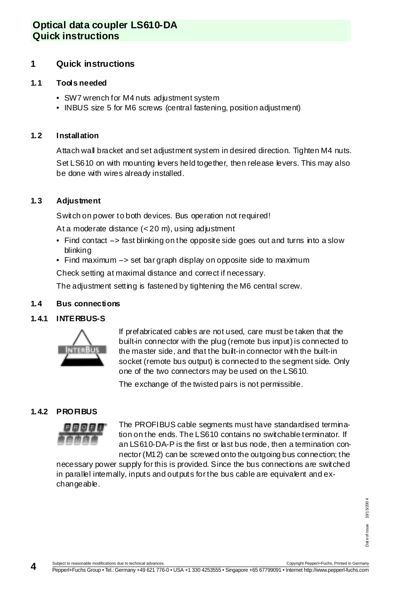### **Optical data coupler LS610-DA Quick instructions**

### <span id="page-5-0"></span>**1 Quick instructions**

#### <span id="page-5-1"></span>**1.1 Tools needed**

- SW7 wrench for M4 nuts adjustment system
- INBUS size 5 for M6 screws (central fastening, position adjustment)

#### <span id="page-5-2"></span>**1.2 Installation**

Attach wall bracket and set adjustment system in desired direction. Tighten M4 nuts.

Set LS610 on with mounting levers held together, then release levers. This may also be done with wires already installed.

#### <span id="page-5-3"></span>**1.3 Adjustment**

Switch on power to both devices. Bus operation not required!

At a moderate distance (< 20 m), using adjustment

- Find contact  $\rightarrow$  fast blinking on the opposite side goes out and turns into a slow blinking
- Find maximum  $\rightarrow$  set bar graph display on opposite side to maximum

Check setting at maximal distance and correct if necessary.

The adjustment setting is fastened by tightening the M6 central screw.

#### <span id="page-5-4"></span>**1.4 Bus connections**

#### **1.4.1 INTERBUS-S**



If prefabricated cables are not used, care must be taken that the built-in connector with the plug (remote bus input) is connected to the master side, and that the built-in connector with the built-in socket (remote bus output) is connected to the segment side. Only one of the two connectors may be used on the LS610.

The exchange of the twisted pairs is not permissible.

### **1.4.2 PROFIBUS**



The PROFIBUS cable segments must have standardised termination on the ends. The LS610 contains no switchable terminator. If an LS610-DA-P is the first or last bus node, then a termination connector (M12) can be screwed onto the outgoing bus connection; the

necessary power supply for this is provided. Since the bus connections are switched in parallel internally, inputs and outputs for the bus cable are equivalent and exchangeable.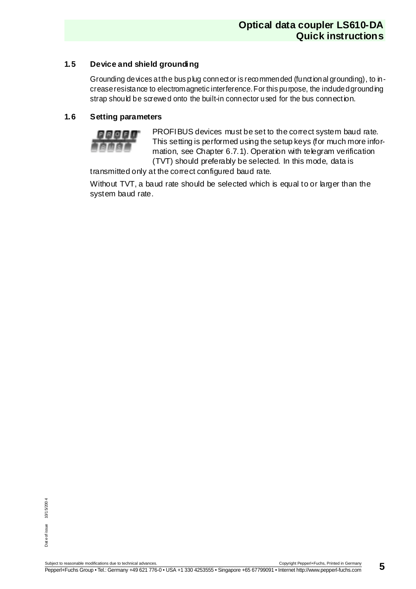### <span id="page-6-0"></span>**1.5 Device and shield grounding**

Grounding devices at the bus plug connector is recommended (functional grounding), to increase resistance to electromagnetic interference. For this purpose, the included grounding strap should be screwed onto the built-in connector used for the bus connection.

#### <span id="page-6-1"></span>**1.6 Setting parameters**



PROFIBUS devices must be set to the correct system baud rate. This setting is performed using the setup keys (for much more information, see [Chapter 6.7.1](#page-18-1)). Operation with telegram verification (TVT) should preferably be selected. In this mode, data is

transmitted only at the correct configured baud rate.

Without TVT, a baud rate should be selected which is equal to or larger than the system baud rate.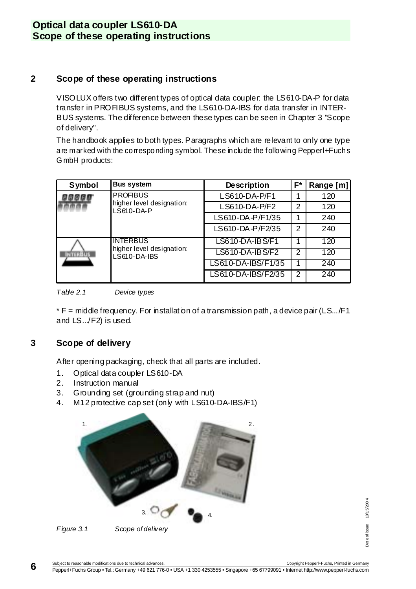### **Optical data coupler LS610-DA Scope of these operating instructions**

### <span id="page-7-0"></span>**2 Scope of these operating instructions**

VISOLUX offers two different types of optical data coupler: the LS610-DA-P for data transfer in PROFIBUS systems, and the LS610-DA-IBS for data transfer in INTER-BUS systems. The difference between these types can be seen in [Chapter 3](#page-7-1) "Scope of delivery".

The handbook applies to both types. Paragraphs which are relevant to only one type are marked with the corresponding symbol. These include the following Pepperl+Fuchs G mbH products:

| Symbol        | <b>Bus system</b>                         | <b>Description</b> | F* | Range [m] |
|---------------|-------------------------------------------|--------------------|----|-----------|
|               | <b>PROFIBUS</b>                           | LS610-DA-P/F1      |    | 120       |
|               | higher level designation:<br>$LS610-DA-P$ | $LS610-DA-P/F2$    | 2  | 120       |
|               |                                           | LS610-DA-P/F1/35   |    | 240       |
|               |                                           | LS610-DA-P/F2/35   | 2  | 240       |
|               | <b>INTERBUS</b>                           | LS610-DA-IBS/F1    |    | 120       |
| <b>TERBUS</b> | higher level designation:<br>LS610-DA-IBS | LS610-DA-IBS/F2    | 2  | 120       |
|               |                                           | LS610-DA-IBS/F1/35 |    | 240       |
|               |                                           | LS610-DA-IBS/F2/35 | 2  | 240       |

<span id="page-7-2"></span>

\* F = middle frequency. For installation of a transmission path, a device pair (LS.../F1 and LS.../F2) is used.

### <span id="page-7-1"></span>**3 Scope of delivery**

After opening packaging, check that all parts are included.

- 1. Optical data coupler LS610-DA
- 2. Instruction manual
- 3. Grounding set (grounding strap and nut)
- 4. M12 protective cap set (only with LS610-DA-IBS/F1)

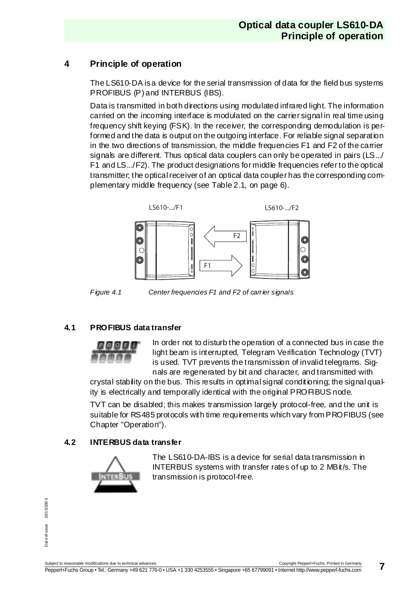### <span id="page-8-0"></span>**4 Principle of operation**

The LS610-DA is a device for the serial transmission of data for the field bus systems PROFIBUS (P) and INTERBUS (IBS).

Data is transmitted in both directions using modulated infrared light. The information carried on the incoming interface is modulated on the carrier signal in real time using frequency shift keying (FSK). In the receiver, the corresponding demodulation is performed and the data is output on the outgoing interface. For reliable signal separation in the two directions of transmission, the middle frequencies F1 and F2 of the carrier signals are different. Thus optical data couplers can only be operated in pairs (LS.../ F1 and LS.../F2). The product designations for middle frequencies refer to the optical transmitter; the optical receiver of an optical data coupler has the corresponding complementary middle frequency (see [Table 2.1, on page 6](#page-7-2)).



Figure 4.1 Center frequencies F1 and F2 of carrier signals

#### <span id="page-8-1"></span>**4.1 PROFIBUS data transfer**



In order not to disturb the operation of a connected bus in case the light beam is interrupted, Telegram Verification Technology (TVT) is used. TVT prevents the transmission of invalid telegrams. Signals are regenerated by bit and character, and transmitted with

crystal stability on the bus. This results in optimal signal conditioning; the signal quality is electrically and temporally identical with the original PROFIBUS node.

TVT can be disabled; this makes transmission largely protocol-free, and the unit is suitable for RS485 protocols with time requirements which vary from PROFIBUS (see Chapter "Operation").

### <span id="page-8-2"></span>**4.2 INTERBUS data transfer**



The LS610-DA-IBS is a device for serial data transmission in INTERBUS systems with transfer rates of up to 2 MBit/s. The transmission is protocol-free.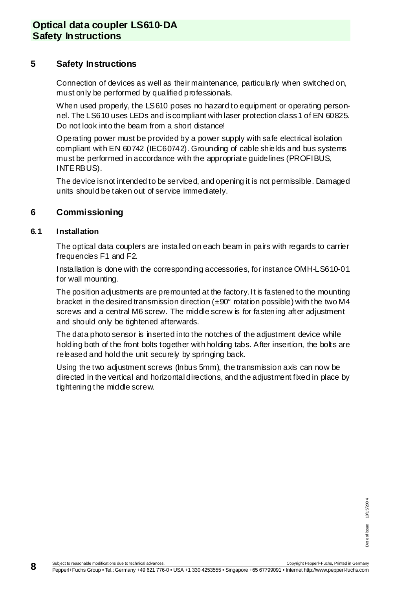### <span id="page-9-0"></span>**5 Safety Instructions**

Connection of devices as well as their maintenance, particularly when switched on, must only be performed by qualified professionals.

When used properly, the LS610 poses no hazard to equipment or operating personnel. The LS610 uses LEDs and is compliant with laser protection class 1 of EN 60825. Do not look into the beam from a short distance!

Operating power must be provided by a power supply with safe electrical isolation compliant with EN 60742 (IEC60742). Grounding of cable shields and bus systems must be performed in accordance with the appropriate guidelines (PROFIBUS, INTERBUS).

The device is not intended to be serviced, and opening it is not permissible. Damaged units should be taken out of service immediately.

### <span id="page-9-1"></span>**6 Commissioning**

#### <span id="page-9-2"></span>**6.1 Installation**

The optical data couplers are installed on each beam in pairs with regards to carrier frequencies F1 and F2.

Installation is done with the corresponding accessories, for instance OMH-LS610-01 for wall mounting.

The position adjustments are premounted at the factory. It is fastened to the mounting bracket in the desired transmission direction  $(\pm 90^\circ$  rotation possible) with the two M4 screws and a central M6 screw. The middle screw is for fastening after adjustment and should only be tightened afterwards.

The data photo sensor is inserted into the notches of the adjustment device while holding both of the front bolts together with holding tabs. After insertion, the bolts are released and hold the unit securely by springing back.

Using the two adjustment screws (Inbus 5mm), the transmission axis can now be directed in the vertical and horizontal directions, and the adjustment fixed in place by tightening the middle screw.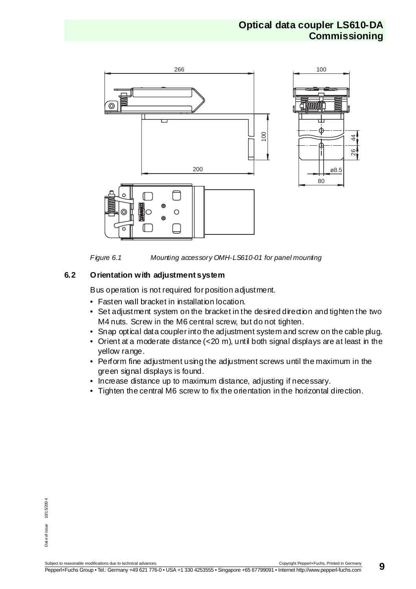

Figure 6.1 Mounting accessory OMH-LS610-01 for panel mounting

### <span id="page-10-0"></span>**6.2 Orientation with adjustment system**

Bus operation is not required for position adjustment.

- Fasten wall bracket in installation location.
- Set adjustment system on the bracket in the desired direction and tighten the two M4 nuts. Screw in the M6 central screw, but do not tighten.
- Snap optical data coupler into the adjustment system and screw on the cable plug.
- Orient at a moderate distance  $( $20 \, \text{m}$ ),$  until both signal displays are at least in the yellow range.
- Perform fine adjustment using the adjustment screws until the maximum in the green signal displays is found.
- Increase distance up to maximum distance, adjusting if necessary.
- Tighten the central M6 screw to fix the orientation in the horizontal direction.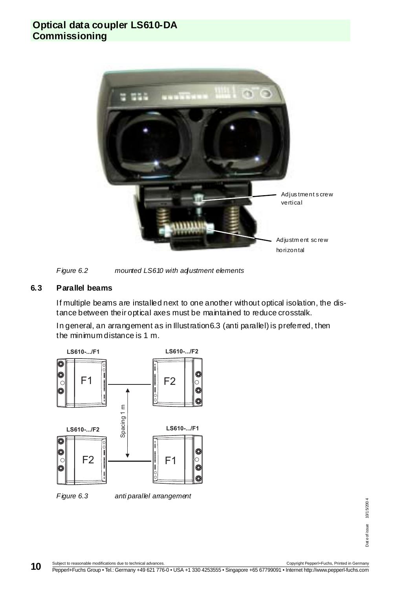### **Optical data coupler LS610-DA Commissioning**





#### <span id="page-11-0"></span>**6.3 Parallel beams**

If multiple beams are installed next to one another without optical isolation, the distance between their optical axes must be maintained to reduce crosstalk.

In general, an arrangement as in [Illustration6.3](#page-11-1) (anti parallel) is preferred, then the minimum distance is 1 m.



<span id="page-11-1"></span>

Copyright PepperI+Fuchs, Printed in Germany +49 621 776-0 • USA +1 330 4253555 • Singapore +65 67799091 • Internet http://www.pepperI+fuchs.com<br>PepperI+Fuchs Group • Tel.: Germany +49 621 776-0 • USA +1 330 4253555 • Singa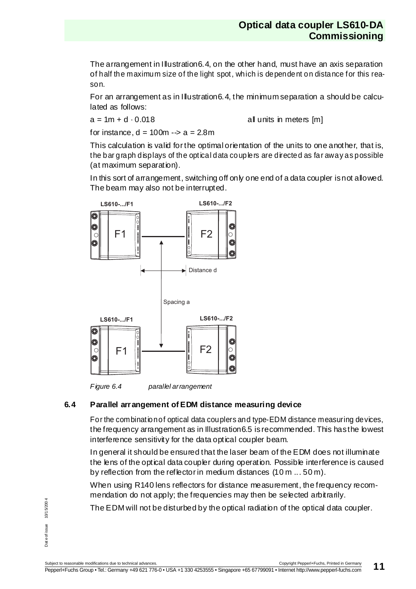The arrangement in [Illustration6.4](#page-12-1), on the other hand, must have an axis separation of half the maximum size of the light spot, which is dependent on distance for this reason.

For an arrangement as in [Illustration6.4](#page-12-1), the minimum separation a should be calculated as follows:

 $a = 1m + d \cdot 0.018$  all units in meters [m]

for instance,  $d = 100m \div a = 2.8m$ 

This calculation is valid for the optimal orientation of the units to one another, that is, the bar graph displays of the optical data couplers are directed as far away as possible (at maximum separation).

In this sort of arrangement, switching off only one end of a data coupler is not allowed. The beam may also not be interrupted.





#### <span id="page-12-1"></span><span id="page-12-0"></span>**6.4 Parallel arrangement of EDM distance measuring device**

For the combination of optical data couplers and type-EDM distance measuring devices, the frequency arrangement as in [Illustration6.5](#page-13-1) is recommended. This has the lowest interference sensitivity for the data optical coupler beam.

In general it should be ensured that the laser beam of the EDM does not illuminate the lens of the optical data coupler during operation. Possible interference is caused by reflection from the reflector in medium distances (10 m ... 50 m).

When using R140 lens reflectors for distance measurement, the frequency recommendation do not apply; the frequencies may then be selected arbitrarily.

The EDM will not be disturbed by the optical radiation of the optical data coupler.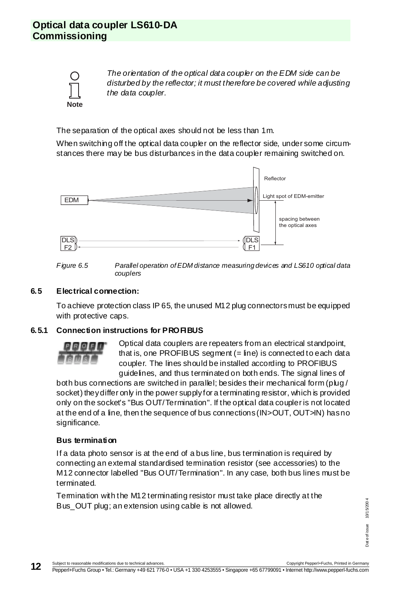

The orientation of the optical data coupler on the EDM side can be disturbed by the reflector; it must therefore be covered while adjusting the data coupler.

The separation of the optical axes should not be less than 1m.

When switching off the optical data coupler on the reflector side, under some circumstances there may be bus disturbances in the data coupler remaining switched on.





#### <span id="page-13-1"></span><span id="page-13-0"></span>**6.5 Electrical connection:**

To achieve protection class IP 65, the unused M12 plug connectors must be equipped with protective caps.

#### <span id="page-13-2"></span>**6.5.1 Connection instructions for PROFIBUS**



Optical data couplers are repeaters from an electrical standpoint, that is, one PROFIBUS segment  $(=$  line) is connected to each data coupler. The lines should be installed according to PROFIBUS guidelines, and thus terminated on both ends. The signal lines of

both bus connections are switched in parallel; besides their mechanical form (plug / socket) they differ only in the power supply for a terminating resistor, which is provided only on the socket's "Bus OUT/Termination". If the optical data coupler is not located at the end of a line, then the sequence of bus connections (IN>OUT, OUT>IN) has no significance.

#### **Bus termination**

If a data photo sensor is at the end of a bus line, bus termination is required by connecting an external standardised termination resistor (see accessories) to the M12 connector labelled "Bus OUT/Termination". In any case, both bus lines must be terminated.

Termination with the M12 terminating resistor must take place directly at the Bus\_OUT plug; an extension using cable is not allowed.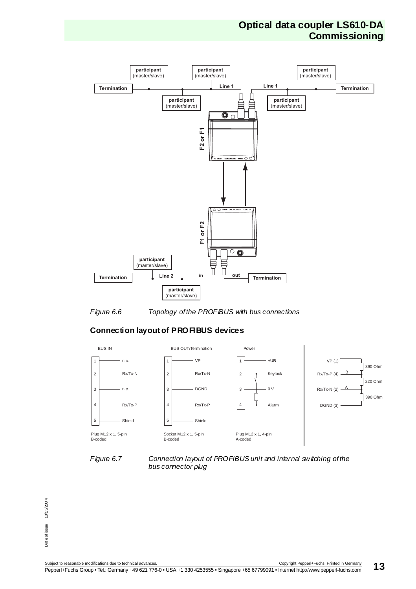### **Optical data coupler LS610-DA Commissioning**





#### **Connection layout of PROFIBUS devices**





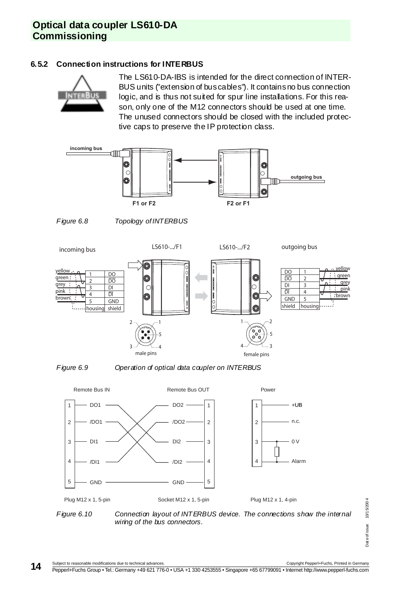# **Optical data coupler LS610-DA Commissioning**

#### <span id="page-15-0"></span>**6.5.2 Connection instructions for INTERBUS**



The LS610-DA-IBS is intended for the direct connection of INTER-BUS units ("extension of bus cables"). It contains no bus connection logic, and is thus not suited for spur line installations. For this reason, only one of the M12 connectors should be used at one time. The unused connectors should be closed with the included protective caps to preserve the IP protection class.







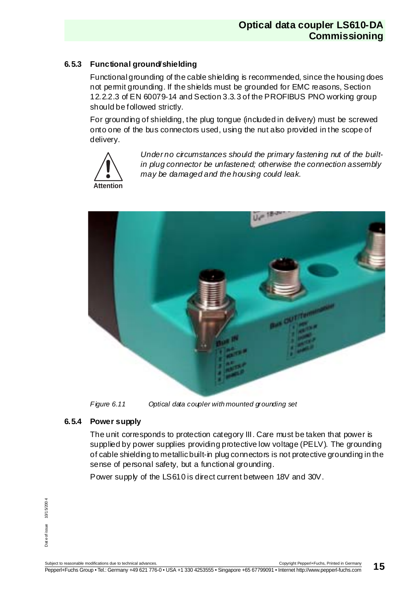### **6.5.3 Functional ground/shielding**

Functional grounding of the cable shielding is recommended, since the housing does not permit grounding. If the shields must be grounded for EMC reasons, Section 12.2.2.3 of EN 60079-14 and Section 3.3.3 of the PROFIBUS PNO working group should be followed strictly.

For grounding of shielding, the plug tongue (included in delivery) must be screwed onto one of the bus connectors used, using the nut also provided in the scope of delivery.



Under no circumstances should the primary fastening nut of the builtin plug connector be unfastened; otherwise the connection assembly may be damaged and the housing could leak.



Figure 6.11 Optical data coupler with mounted grounding set

### **6.5.4 Power supply**

The unit corresponds to protection category III. Care must be taken that power is supplied by power supplies providing protective low voltage (PELV). The grounding of cable shielding to metallic built-in plug connectors is not protective grounding in the sense of personal safety, but a functional grounding.

Power supply of the LS610 is direct current between 18V and 30V.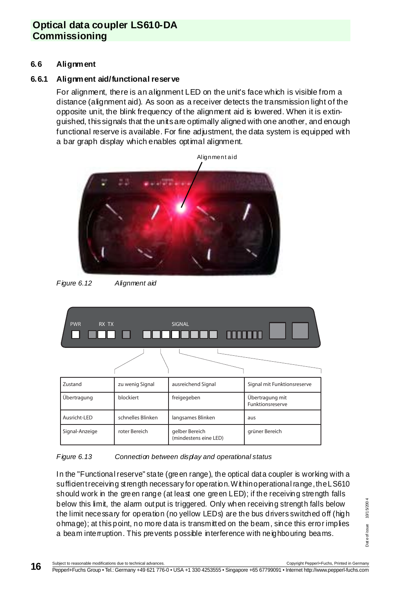# **Optical data coupler LS610-DA Commissioning**

#### <span id="page-17-0"></span>**6.6 Alignment**

#### **6.6.1 Alignment aid/functional reserve**

For alignment, there is an alignment LED on the unit's face which is visible from a distance (alignment aid). As soon as a receiver detects the transmission light of the opposite unit, the blink frequency of the alignment aid is lowered. When it is extinguished, this signals that the units are optimally aligned with one another, and enough functional reserve is available. For fine adjustment, the data system is equipped with a bar graph display which enables optimal alignment.



Figure 6.12 Alignment aid

| <b>PWR</b><br>RX TX |                   | <b>SIGNAL</b><br><u>d a daadaaa mmn</u> |                                            |
|---------------------|-------------------|-----------------------------------------|--------------------------------------------|
|                     |                   |                                         |                                            |
| Zustand             | zu wenig Signal   | ausreichend Signal                      | Signal mit Funktionsreserve                |
| Übertragung         | blockiert         | freigegeben                             | Übertragung mit<br><b>Funktionsreserve</b> |
| Ausricht-LED        | schnelles Blinken | langsames Blinken                       | aus                                        |
| Signal-Anzeige      | roter Bereich     | gelber Bereich<br>(mindestens eine LED) | grüner Bereich                             |

#### Figure 6.13 Connection between display and operational status

In the "Functional reserve" state (green range), the optical data coupler is working with a sufficient receiving strength necessary for operation. Within operational range, the LS610 should work in the green range (at least one green LED); if the receiving strength falls below this limit, the alarm output is triggered. Only when receiving strength falls below the limit necessary for operation (no yellow LEDs) are the bus drivers switched off (high ohmage); at this point, no more data is transmitted on the beam, since this error implies a beam interruption. This prevents possible interference with neighbouring beams.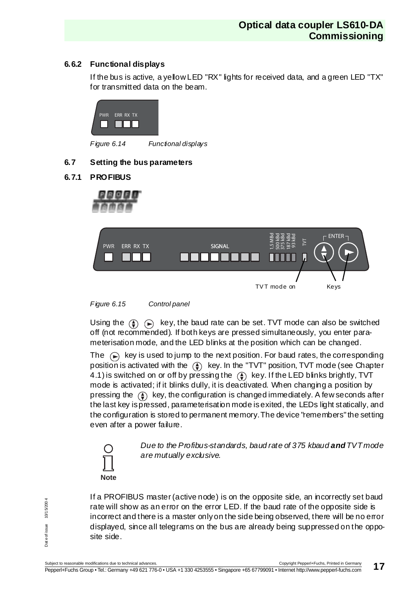### **6.6.2 Functional displays**

If the bus is active, a yellow LED "RX" lights for received data, and a green LED "TX" for transmitted data on the beam.



Figure 6.14 Functional displays

### <span id="page-18-0"></span>**6.7 Setting the bus parameters**

### <span id="page-18-1"></span>**6.7.1 PROFIBUS**







Using the  $\circled{A}$   $\circled{R}$  key, the baud rate can be set. TVT mode can also be switched off (not recommended). If both keys are pressed simultaneously, you enter parameterisation mode, and the LED blinks at the position which can be changed.

The  $\curvearrowright$  key is used to jump to the next position. For baud rates, the corresponding position is activated with the  $\left(\frac{\pi}{2}\right)$  key. In the "TVT" position, TVT mode (see Chapter [4.1](#page-8-1)) is switched on or off by pressing the  $\overline{A}$  key. If the LED blinks brightly, TVT mode is activated; if it blinks dully, it is deactivated. When changing a position by pressing the  $\left(\frac{1}{2}\right)$  key, the configuration is changed immediately. A few seconds after the last key is pressed, parameterisation mode is exited, the LEDs light statically, and the configuration is stored to permanent memory. The device "remembers" the setting even after a power failure.



Due to the Profibus-standards, baud rate of 375 kbaud **and** TVT mode are mutually exclusive.

If a PROFIBUS master (active node) is on the opposite side, an incorrectly set baud rate will show as an error on the error LED. If the baud rate of the opposite side is incorrect and there is a master only on the side being observed, there will be no error displayed, since all telegrams on the bus are already being suppressed on the opposite side.

10/15/200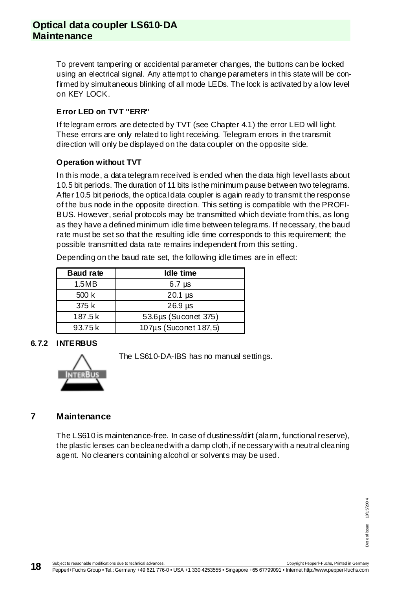### **Optical data coupler LS610-DA Maintenance**

To prevent tampering or accidental parameter changes, the buttons can be locked using an electrical signal. Any attempt to change parameters in this state will be confirmed by simultaneous blinking of all mode LEDs. The lock is activated by a low level on KEY LOCK.

### **Error LED on TVT "ERR"**

If telegram errors are detected by TVT (see [Chapter 4.1](#page-8-1)) the error LED will light. These errors are only related to light receiving. Telegram errors in the transmit direction will only be displayed on the data coupler on the opposite side.

#### **Operation without TVT**

In this mode, a data telegram received is ended when the data high level lasts about 10.5 bit periods. The duration of 11 bits is the minimum pause between two telegrams. After 10.5 bit periods, the optical data coupler is again ready to transmit the response of the bus node in the opposite direction. This setting is compatible with the PROFI-BUS. However, serial protocols may be transmitted which deviate from this, as long as they have a defined minimum idle time between telegrams. If necessary, the baud rate must be set so that the resulting idle time corresponds to this requirement; the possible transmitted data rate remains independent from this setting.

| <b>Baud rate</b> | Idle time             |  |
|------------------|-----------------------|--|
| 1.5MB            | $6.7 \mu s$           |  |
| 500 k            | $20.1$ $\mu$ s        |  |
| 375k             | $26.9$ $\mu s$        |  |
| 187.5k           | 53.6µs (Suconet 375)  |  |
| 93.75 k          | 107µs (Suconet 187,5) |  |

Depending on the baud rate set, the following idle times are in effect:

#### **6.7.2 INTERBUS**

The LS610-DA-IBS has no manual settings.

#### <span id="page-19-0"></span>**7 Maintenance**

The LS610 is maintenance-free. In case of dustiness/dirt (alarm, functional reserve), the plastic lenses can be cleaned with a damp cloth, if necessary with a neutral cleaning agent. No cleaners containing alcohol or solvents may be used.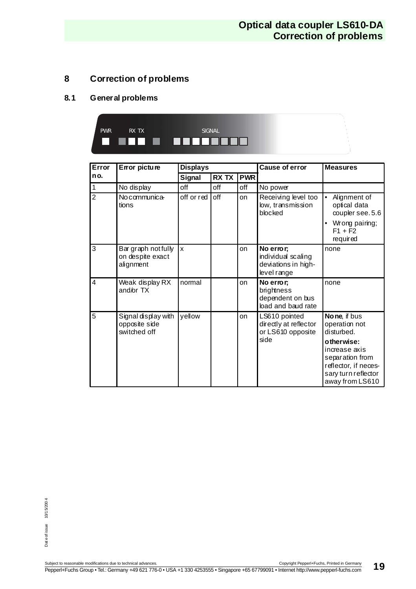### **Optical data coupler LS610-DA Correction of problems**

### <span id="page-20-0"></span>**8 Correction of problems**

### <span id="page-20-1"></span>**8.1 General problems**



| Error          | Error picture                                        | <b>Displays</b> |       |            | Cause of error                                                        | <b>Measures</b>                                                                                          |  |
|----------------|------------------------------------------------------|-----------------|-------|------------|-----------------------------------------------------------------------|----------------------------------------------------------------------------------------------------------|--|
| no.            |                                                      | Signal          | RX TX | <b>PWR</b> |                                                                       |                                                                                                          |  |
| 1              | No display                                           | off             | off   | off        | No power                                                              |                                                                                                          |  |
| $\overline{2}$ | No communica-<br>tions                               | off or red      | off   | on         | Receiving level too<br>low, transmission<br>blocked                   | $\bullet$<br>Alignment of<br>optical data<br>coupler see. 5.6<br>Wrong pairing;<br>$F1 + F2$<br>required |  |
| 3              | Bar graph notfully<br>on despite exact<br>alignment  | <b>x</b>        |       | on         | No error;<br>individual scaling<br>deviations in high-<br>level range | none                                                                                                     |  |
| 4              | Weak display RX<br>and/or TX                         | normal          |       | on         | No error;<br>brightness<br>dependent on bus<br>load and baud rate     | none                                                                                                     |  |
| 5              | Signal display with<br>opposite side<br>switched off | yellow          |       | on         | LS610 pointed<br>directly at reflector<br>or LS610 opposite<br>side   | None, if bus<br>operation not<br>disturbed.<br>otherwise:<br>increase axis<br>separation from            |  |
|                |                                                      |                 |       |            |                                                                       | reflector, if neces-<br>sary turn reflector<br>away from LS610                                           |  |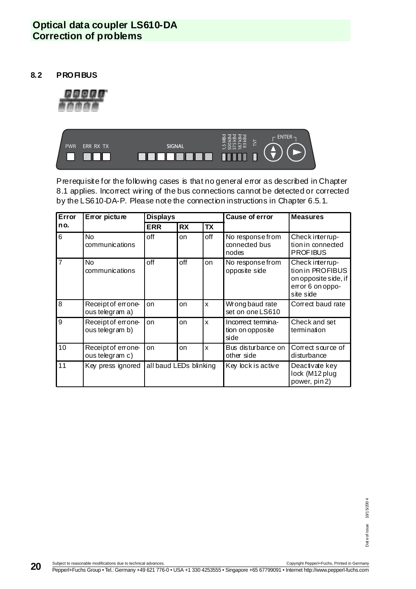### **Optical data coupler LS610-DA Correction of problems**

<span id="page-21-0"></span>**8.2 PROFIBUS**





Prerequisite for the following cases is that no general error as described in [Chapter](#page-20-1)  [8.1](#page-20-1) applies. Incorrect wiring of the bus connections cannot be detected or corrected by the LS610-DA-P. Please note the connection instructions in [Chapter 6.5.1](#page-13-2).

| Error<br>Error picture |                                       | <b>Displays</b>        |           |           | Cause of error                                 | <b>Measures</b>                                                                              |
|------------------------|---------------------------------------|------------------------|-----------|-----------|------------------------------------------------|----------------------------------------------------------------------------------------------|
| no.                    |                                       | <b>ERR</b>             | <b>RX</b> | <b>TX</b> |                                                |                                                                                              |
| 6                      | <b>No</b><br>communications           | off                    | on        | off       | No response from<br>connected bus<br>nodes     | Check interrup-<br>tion in connected<br><b>PROFIBUS</b>                                      |
| 17                     | <b>No</b><br>communications           | off                    | off       | on        | No response from<br>opposite side              | Check interrup-<br>tion in PROFIBUS<br>on opposite side, if<br>error 6 on oppo-<br>site side |
| 8                      | Receipt of errone-<br>ous telegram a) | on                     | on        | X         | Wrong baud rate<br>set on one LS610            | Correct baud rate                                                                            |
| 9                      | Receipt of errone-<br>ous telegram b) | on                     | on        | x         | Incorrect termina-<br>tion on opposite<br>side | Check and set<br>termination                                                                 |
| 10                     | Receipt of errone-<br>ous telegram c) | on                     | on        | x         | Bus disturbance on<br>other side               | Correct source of<br>disturbance                                                             |
| 11                     | Key press ignored                     | all baud LEDs blinking |           |           | Key lock is active                             | Deactivate key<br>lock (M12 plug<br>power, pin 2)                                            |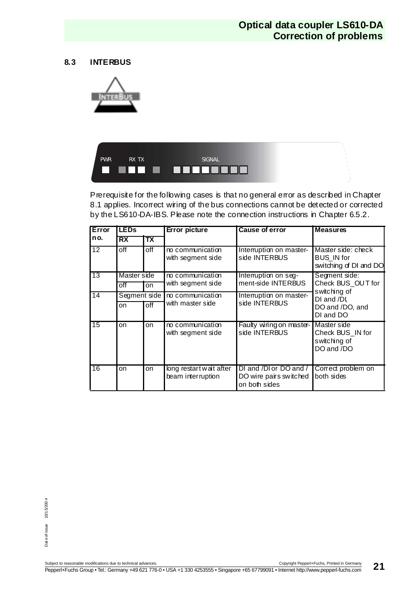### **Optical data coupler LS610-DA Correction of problems**

#### <span id="page-22-0"></span>**8.3 INTERBUS**





Prerequisite for the following cases is that no general error as described in Chapter [8.1](#page-20-1) applies. Incorrect wiring of the bus connections cannot be detected or corrected by the LS610-DA-IBS. Please note the connection instructions in [Chapter 6.5.2](#page-15-0).

| Error           | <b>LEDs</b>  | <b>Error picture</b> |                                              | Cause of error                                                    | <b>Measures</b>                                                   |
|-----------------|--------------|----------------------|----------------------------------------------|-------------------------------------------------------------------|-------------------------------------------------------------------|
| no.             | RX           | Tx                   |                                              |                                                                   |                                                                   |
| $\overline{12}$ | $_{\rm off}$ | off                  | no communication<br>with segment side        | Interruption on master-<br>side INTERBUS                          | Master side: check<br><b>BUS IN for</b><br>switching of DI and DO |
| 13              | Master side  |                      | no communication                             | Interruption on seg-                                              | Segment side:                                                     |
|                 | $_{\rm off}$ | on                   | with segment side                            | ment-side INTERBUS                                                | Check BUS OUT for<br>switching of                                 |
| $\overline{14}$ | Segment side |                      | no communication                             | Interruption on master-                                           | DI and /DI.                                                       |
|                 | on           | $_{\rm off}$         | with master side                             | side INTERBUS                                                     | DO and /DO, and<br>DI and DO                                      |
| 15              | on           | on                   | no communication<br>with segment side        | Faulty wiring on master-<br>side INTERBUS                         | Master side<br>Check BUS IN for<br>switching of<br>DO and /DO     |
| 16              | on           | on                   | long restart wait after<br>beam interruption | DI and /DI or DO and /<br>DO wire pairs switched<br>on both sides | Correct problem on<br>both sides                                  |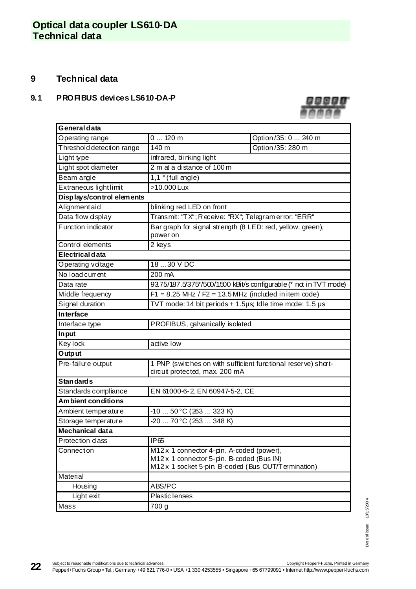### <span id="page-23-0"></span>**9 Technical data**

#### <span id="page-23-1"></span>**9.1 PROFIBUS devices LS610-DA-P**



| General data              |                                                                                                                                              |                     |  |  |  |  |  |
|---------------------------|----------------------------------------------------------------------------------------------------------------------------------------------|---------------------|--|--|--|--|--|
| Operating range           | 0120m                                                                                                                                        | Option/35: 0  240 m |  |  |  |  |  |
| Threshold detection range | 140 m<br>Option/35: 280 m                                                                                                                    |                     |  |  |  |  |  |
| Light type                | infrared, blinking light                                                                                                                     |                     |  |  |  |  |  |
| Light spot diameter       | 2 m at a distance of 100 m                                                                                                                   |                     |  |  |  |  |  |
| Beam angle                | $1,1^{\circ}$ (full angle)                                                                                                                   |                     |  |  |  |  |  |
| Extraneous light limit    | >10.000 Lux                                                                                                                                  |                     |  |  |  |  |  |
| Displays/control elements |                                                                                                                                              |                     |  |  |  |  |  |
| Alignment aid             | blinking red LED on front                                                                                                                    |                     |  |  |  |  |  |
| Data flow display         | Transmit: "TX"; Receive: "RX"; Telegram error: "ERR"                                                                                         |                     |  |  |  |  |  |
| Function indicator        | Bar graph for signal strength (8 LED: red, yellow, green),<br>power on                                                                       |                     |  |  |  |  |  |
| Control elements          | 2 keys                                                                                                                                       |                     |  |  |  |  |  |
| Electrical data           |                                                                                                                                              |                     |  |  |  |  |  |
| Operating voltage         | 18  30 V DC                                                                                                                                  |                     |  |  |  |  |  |
| No load current           | 200 mA                                                                                                                                       |                     |  |  |  |  |  |
| Data rate                 | 93.75/187.5/375*/500/1500 kBit/s configurable (* not in TVT mode)                                                                            |                     |  |  |  |  |  |
| Middle frequency          | $F1 = 8.25$ MHz / $F2 = 13.5$ MHz (induded in item code)                                                                                     |                     |  |  |  |  |  |
| Signal duration           | TVT mode: 14 bit periods + 1.5µs; Idle time mode: 1.5 µs                                                                                     |                     |  |  |  |  |  |
| <b>Interface</b>          |                                                                                                                                              |                     |  |  |  |  |  |
| Interface type            | PROFIBUS, galvanically isolated                                                                                                              |                     |  |  |  |  |  |
| In put                    |                                                                                                                                              |                     |  |  |  |  |  |
| Key lock                  | active low                                                                                                                                   |                     |  |  |  |  |  |
| Output                    |                                                                                                                                              |                     |  |  |  |  |  |
| Pre-failure output        | 1 PNP (switches on with sufficient functional reserve) short-<br>circuit protected, max. 200 mA                                              |                     |  |  |  |  |  |
| Stan dard s               |                                                                                                                                              |                     |  |  |  |  |  |
| Standards compliance      | EN 61000-6-2, EN 60947-5-2, CE                                                                                                               |                     |  |  |  |  |  |
| Am bient con ditions      |                                                                                                                                              |                     |  |  |  |  |  |
| Ambient temperature       | -10  50 °C (263  323 K)                                                                                                                      |                     |  |  |  |  |  |
| Storage temperature       | -20  70 °C (253  348 K)                                                                                                                      |                     |  |  |  |  |  |
| Mechanical data           |                                                                                                                                              |                     |  |  |  |  |  |
| Protection class          | IP <sub>65</sub>                                                                                                                             |                     |  |  |  |  |  |
| Connection                | M12 x 1 connector 4-pin. A-coded (power),<br>M12x 1 connector 5-pin. B-coded (Bus IN)<br>M12 x 1 socket 5-pin. B-coded (Bus OUT/Termination) |                     |  |  |  |  |  |
| Material                  |                                                                                                                                              |                     |  |  |  |  |  |
| Housing                   | ABS/PC                                                                                                                                       |                     |  |  |  |  |  |
| Light exit                | Plastic lenses                                                                                                                               |                     |  |  |  |  |  |
| Mass                      | 700 g                                                                                                                                        |                     |  |  |  |  |  |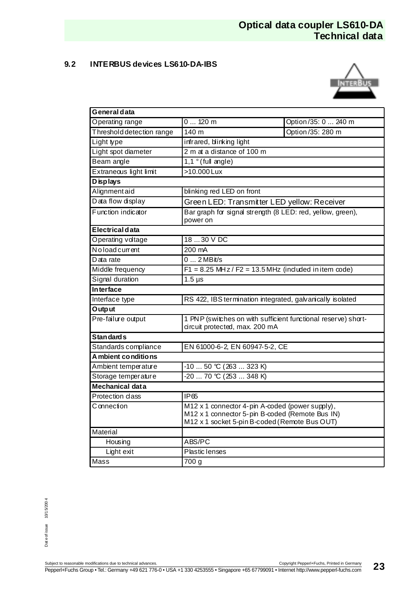### <span id="page-24-0"></span>**9.2 INTERBUS devices LS610-DA-IBS**



| General data              |                                                                                                                                                     |                     |  |  |  |
|---------------------------|-----------------------------------------------------------------------------------------------------------------------------------------------------|---------------------|--|--|--|
| Operating range           | $0120$ m                                                                                                                                            | Option/35: 0  240 m |  |  |  |
| Threshold detection range | 140 m<br>Option/35: 280 m                                                                                                                           |                     |  |  |  |
| Light type                | infrared, blinking light                                                                                                                            |                     |  |  |  |
| Light spot diameter       | 2 m at a distance of 100 m                                                                                                                          |                     |  |  |  |
| Beam angle                | $1,1°$ (full angle)                                                                                                                                 |                     |  |  |  |
| Extraneous light limit    | >10.000 Lux                                                                                                                                         |                     |  |  |  |
| <b>Displays</b>           |                                                                                                                                                     |                     |  |  |  |
| Alignmentaid              | blinking red LED on front                                                                                                                           |                     |  |  |  |
| Data flow display         | Green LED: Transmitter LED yellow: Receiver                                                                                                         |                     |  |  |  |
| Function indicator        | Bar graph for signal strength (8 LED: red, yellow, green),<br>power on                                                                              |                     |  |  |  |
| Electrical data           |                                                                                                                                                     |                     |  |  |  |
| Operating voltage         | 18  30 V DC                                                                                                                                         |                     |  |  |  |
| Noloadcurrent             | 200 mA                                                                                                                                              |                     |  |  |  |
| Data rate                 | $02MB$ it/s                                                                                                                                         |                     |  |  |  |
| Middle frequency          | $F1 = 8.25$ MHz / $F2 = 13.5$ MHz (included in item code)                                                                                           |                     |  |  |  |
| Signal duration           | $1.5 \,\mu s$                                                                                                                                       |                     |  |  |  |
| <b>Interface</b>          |                                                                                                                                                     |                     |  |  |  |
| Interface type            | RS 422, IBS termination integrated, galvanically isolated                                                                                           |                     |  |  |  |
| Output                    |                                                                                                                                                     |                     |  |  |  |
| Pre-failure output        | 1 PNP (switches on with sufficient functional reserve) short-<br>circuit protected, max. 200 mA                                                     |                     |  |  |  |
| <b>Standards</b>          |                                                                                                                                                     |                     |  |  |  |
| Standards compliance      | EN 61000-6-2, EN 60947-5-2, CE                                                                                                                      |                     |  |  |  |
| A mbient conditions       |                                                                                                                                                     |                     |  |  |  |
| Ambient temperature       | $-1050$ °C (263  323 K)                                                                                                                             |                     |  |  |  |
| Storage temperature       | $-20$ 70 °C (253  348 K)                                                                                                                            |                     |  |  |  |
| Mechanical data           |                                                                                                                                                     |                     |  |  |  |
| Protection class          | <b>IP65</b>                                                                                                                                         |                     |  |  |  |
| Connection                | M12 x 1 connector 4-pin A-coded (power supply),<br>M12 x 1 connector 5-pin B-coded (Remote Bus IN)<br>M12 x 1 socket 5-pin B-coded (Remote Bus OUT) |                     |  |  |  |
| Material                  |                                                                                                                                                     |                     |  |  |  |
| Housing                   | ABS/PC                                                                                                                                              |                     |  |  |  |
| Light exit                | <b>Plastic lenses</b>                                                                                                                               |                     |  |  |  |
| Mass                      | 700 g                                                                                                                                               |                     |  |  |  |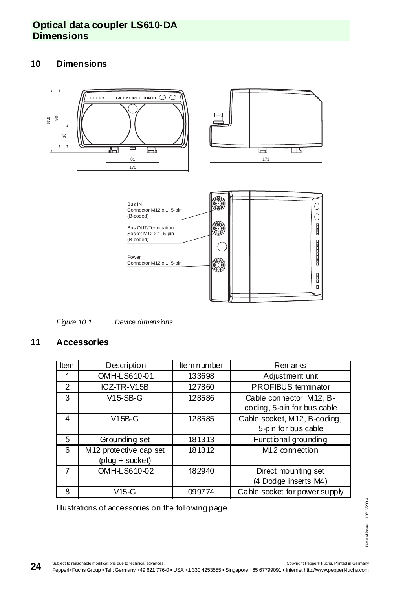### **Optical data coupler LS610-DA Dimensions**

### <span id="page-25-0"></span>**10 Dimensions**



Figure 10.1 Device dimensions

### <span id="page-25-1"></span>**11 Accessories**

| Item | Description            | Item number | Remarks                       |
|------|------------------------|-------------|-------------------------------|
|      | OMH-LS610-01           | 133698      | Adjustment unit               |
| 2    | ICZ-TR-V15B            | 127860      | PROFIBUS terminator           |
| 3    | $V15-SB-G$             | 128586      | Cable connector, M12, B-      |
|      |                        |             | coding, 5-pin for bus cable   |
| 4    | $V15B-G$               | 128585      | Cable socket, M12, B-coding,  |
|      |                        |             | 5-pin for bus cable           |
| 5    | Grounding set          | 181313      | Functional grounding          |
| 6    | M12 protective cap set | 181312      | $M12$ connection              |
|      | $(pluq + socket)$      |             |                               |
|      | OMH-LS610-02           | 182940      | Direct mounting set           |
|      |                        |             | (4 Dodge inserts M4)          |
| 8    | $V15-G$                | 099774      | Cable socket for power supply |

Illustrations of accessories on the following page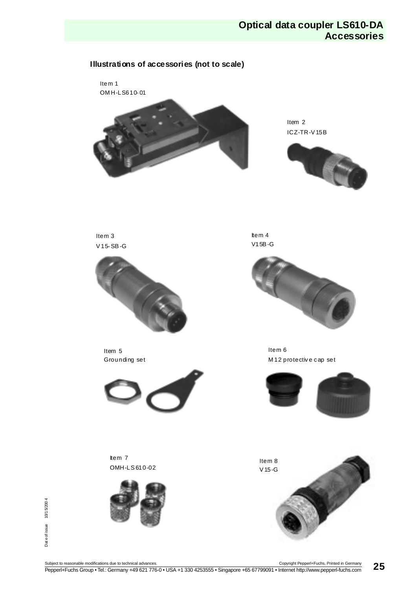### **Optical data coupler LS610-DA Accessories**



Dat e of issue 10/1 5/200 4

Date of issue

10/15/2004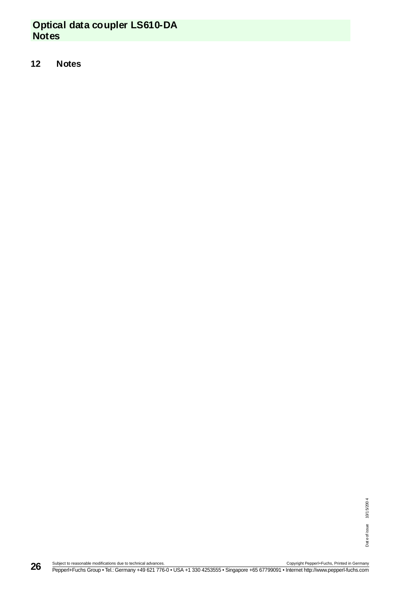# **Optical data coupler LS610-DA Notes**

#### <span id="page-27-0"></span>**12 Notes**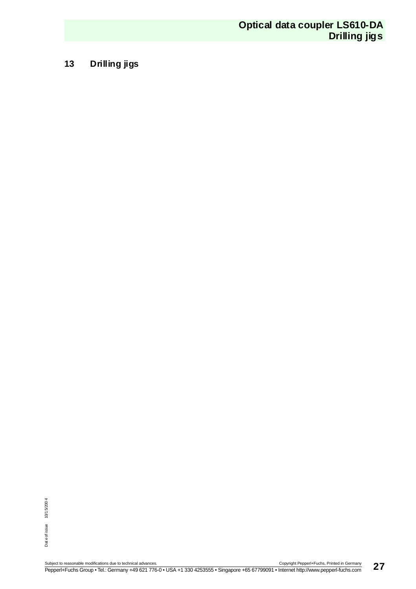### <span id="page-28-0"></span>**13 Drilling jigs**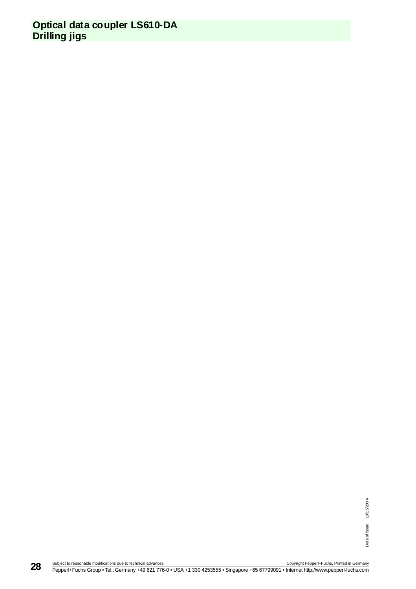### **Optical data coupler LS610-DA Drilling jigs**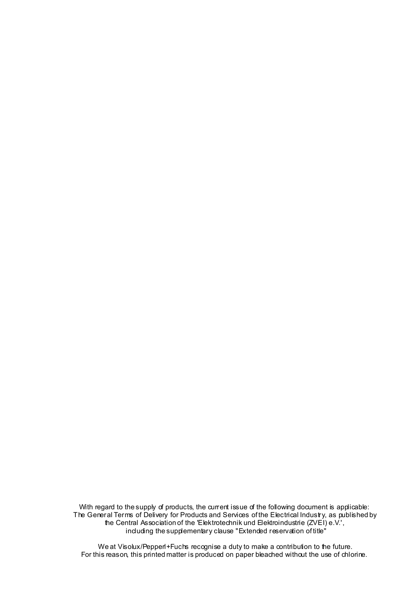With regard to the supply of products, the current issue of the following document is applicable: The General Terms of Delivery for Products and Services of the Electrical Industry, as published by the Central Association of the 'Elektrotechnik und Elektroindustrie (ZVEI) e.V.', including the supplementary clause "Extended reservation of title"

We at Visolux/Pepperl+Fuchs recognise a duty to make a contribution to the future. For this reason, this printed matter is produced on paper bleached without the use of chlorine.